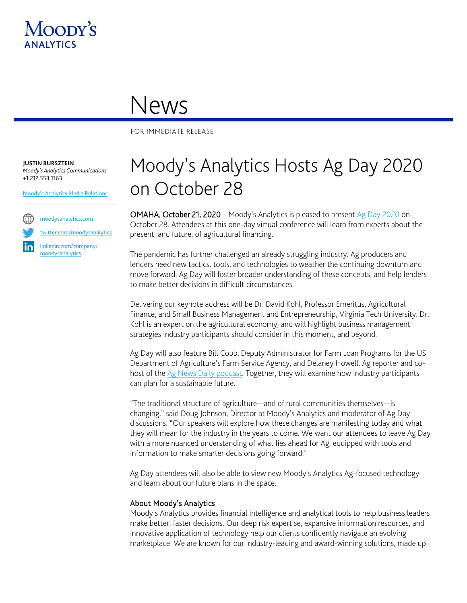

## News

FOR IMMEDIATE RELEASE

**JUSTIN BURSZTEIN** *Moody's Analytics Communications* +1.212.553.1163

[Moody's Analytics Media Relations](mailto:MAMediarelations@moodys.com?subject=Moody%E2%80%99s%20Analytics%20Hosts%20Ag%20Day%202020%20on%20October%2028)



[twitter.com/moodysanalytics](https://twitter.com/MoodysAnalytics)

[linkedin.com/company/](https://www.linkedin.com/company/moodysanalytics) [moodysanalytics](https://www.linkedin.com/company/moodysanalytics)

## Moody's Analytics Hosts Ag Day 2020 on October 28

OMAHA, October 21, 2020 – Moody's Analytics is pleased to present [Ag Day 2020](http://moodysagday2020.webflow.io/) on October 28. Attendees at this one-day virtual conference will learn from experts about the present, and future, of agricultural financing.

The pandemic has further challenged an already struggling industry. Ag producers and lenders need new tactics, tools, and technologies to weather the continuing downturn and move forward. Ag Day will foster broader understanding of these concepts, and help lenders to make better decisions in difficult circumstances.

Delivering our keynote address will be Dr. David Kohl, Professor Emeritus, Agricultural Finance, and Small Business Management and Entrepreneurship, Virginia Tech University. Dr. Kohl is an expert on the agricultural economy, and will highlight business management strategies industry participants should consider in this moment, and beyond.

Ag Day will also feature Bill Cobb, Deputy Administrator for Farm Loan Programs for the US Department of Agriculture's Farm Service Agency, and Delaney Howell, Ag reporter and co-host of the [Ag News Daily podcast.](https://www.globalagnetwork.com/ag-news-daily/podcast) Together, they will examine how industry participants can plan for a sustainable future.

"The traditional structure of agriculture—and of rural communities themselves—is changing," said Doug Johnson, Director at Moody's Analytics and moderator of Ag Day discussions. "Our speakers will explore how these changes are manifesting today and what they will mean for the industry in the years to come. We want our attendees to leave Ag Day with a more nuanced understanding of what lies ahead for Ag, equipped with tools and information to make smarter decisions going forward."

Ag Day attendees will also be able to view new Moody's Analytics Ag-focused technology and learn about our future plans in the space.

## About Moody's Analytics

Moody's Analytics provides financial intelligence and analytical tools to help business leaders make better, faster decisions. Our deep risk expertise, expansive information resources, and innovative application of technology help our clients confidently navigate an evolving marketplace. We are known for our industry-leading and award-winning solutions, made up